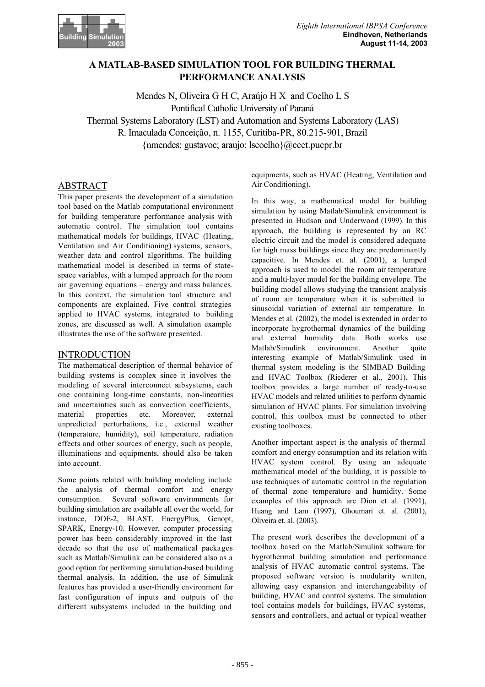

# **A MATLAB-BASED SIMULATION TOOL FOR BUILDING THERMAL PERFORMANCE ANALYSIS**

Mendes N, Oliveira G H C, Araújo H X and Coelho L S Pontifical Catholic University of Paraná Thermal Systems Laboratory (LST) and Automation and Systems Laboratory (LAS) R. Imaculada Conceição, n. 1155, Curitiba-PR, 80.215-901, Brazil {nmendes; gustavoc; araujo; lscoelho}@ccet.pucpr.br

## ABSTRACT

This paper presents the development of a simulation tool based on the Matlab computational environment for building temperature performance analysis with automatic control. The simulation tool contains mathematical models for buildings, HVAC (Heating, Ventilation and Air Conditioning) systems, sensors, weather data and control algorithms. The building mathematical model is described in terms of statespace variables, with a lumped approach for the room air governing equations – energy and mass balances. In this context, the simulation tool structure and components are explained. Five control strategies applied to HVAC systems, integrated to building zones, are discussed as well. A simulation example illustrates the use of the software presented.

## INTRODUCTION

The mathematical description of thermal behavior of building systems is complex since it involves the modeling of several interconnect subsystems, each one containing long-time constants, non-linearities and uncertainties such as convection coefficients, material properties etc. Moreover, external unpredicted perturbations, i.e., external weather (temperature, humidity), soil temperature, radiation effects and other sources of energy, such as people, illuminations and equipments, should also be taken into account.

Some points related with building modeling include the analysis of thermal comfort and energy consumption. Several software environments for building simulation are available all over the world, for instance, DOE-2, BLAST, EnergyPlus, Genopt, SPARK, Energy-10. However, computer processing power has been considerably improved in the last decade so that the use of mathematical packages such as Matlab/Simulink can be considered also as a good option for performing simulation-based building thermal analysis. In addition, the use of Simulink features has provided a user-friendly environment for fast configuration of inputs and outputs of the different subsystems included in the building and

equipments, such as HVAC (Heating, Ventilation and Air Conditioning).

In this way, a mathematical model for building simulation by using Matlab/Simulink environment is presented in Hudson and Underwood (1999). In this approach, the building is represented by an RC electric circuit and the model is considered adequate for high mass buildings since they are predominantly capacitive. In Mendes et. al. (2001), a lumped approach is used to model the room air temperature and a multi-layer model for the building envelope. The building model allows studying the transient analysis of room air temperature when it is submitted to sinusoidal variation of external air temperature. In Mendes et al. (2002), the model is extended in order to incorporate hygrothermal dynamics of the building and external humidity data. Both works use Matlab/Simulink environment. Another quite interesting example of Matlab/Simulink used in thermal system modeling is the SIMBAD Building and HVAC Toolbox (Riederer et al., 2001). This toolbox provides a large number of ready-to-use HVAC models and related utilities to perform dynamic simulation of HVAC plants. For simulation involving control, this toolbox must be connected to other existing toolboxes.

Another important aspect is the analysis of thermal comfort and energy consumption and its relation with HVAC system control. By using an adequate mathematical model of the building, it is possible to use techniques of automatic control in the regulation of thermal zone temperature and humidity. Some examples of this approach are Dion et al. (1991), Huang and Lam (1997), Ghoumari et. al. (2001), Oliveira et. al. (2003).

The present work describes the development of a toolbox based on the Matlab/Simulink software for hygrothermal building simulation and performance analysis of HVAC automatic control systems. The proposed software version is modularity written, allowing easy expansion and interchangeability of building, HVAC and control systems. The simulation tool contains models for buildings, HVAC systems, sensors and controllers, and actual or typical weather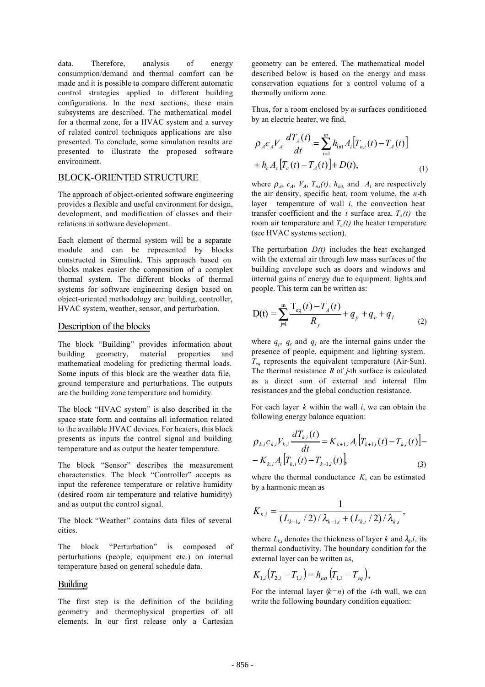data. Therefore, analysis of energy consumption/demand and thermal comfort can be made and it is possible to compare different automatic control strategies applied to different building configurations. In the next sections, these main subsystems are described. The mathematical model for a thermal zone, for a HVAC system and a survey of related control techniques applications are also presented. To conclude, some simulation results are presented to illustrate the proposed software environment.

## BLOCK-ORIENTED STRUCTURE

The approach of object-oriented software engineering provides a flexible and useful environment for design, development, and modification of classes and their relations in software development.

Each element of thermal system will be a separate module and can be represented by blocks constructed in Simulink. This approach based on blocks makes easier the composition of a complex thermal system. The different blocks of thermal systems for software engineering design based on object-oriented methodology are: building, controller, HVAC system, weather, sensor, and perturbation.

### Description of the blocks

The block "Building" provides information about building geometry, material properties and mathematical modeling for predicting thermal loads. Some inputs of this block are the weather data file, ground temperature and perturbations. The outputs are the building zone temperature and humidity.

The block "HVAC system" is also described in the space state form and contains all information related to the available HVAC devices. For heaters, this block presents as inputs the control signal and building temperature and as output the heater temperature.

The block "Sensor" describes the measurement characteristics. The block "Controller" accepts as input the reference temperature or relative humidity (desired room air temperature and relative humidity) and as output the control signal.

The block "Weather" contains data files of several cities.

The block "Perturbation" is composed of perturbations (people, equipment etc.) on internal temperature based on general schedule data.

### Building

The first step is the definition of the building geometry and thermophysical properties of all elements. In our first release only a Cartesian

geometry can be entered. The mathematical model described below is based on the energy and mass conservation equations for a control volume of a thermally uniform zone.

Thus, for a room enclosed by *m* surfaces conditioned by an electric heater, we find,

$$
\rho_A c_A V_A \frac{dT_A(t)}{dt} = \sum_{i=1}^m h_{int} A_i [T_{n,i}(t) - T_A(t)] + h_c A_c [T_c(t) - T_A(t)] + D(t),
$$
\n(1)

where  $\rho_A$ ,  $c_A$ ,  $V_A$ ,  $T_{n,i}(t)$ ,  $h_{int}$ , and  $A_i$  are respectively the air density, specific heat, room volume, the *n*-th layer temperature of wall *i*, the convection heat transfer coefficient and the *i* surface area.  $T<sub>4</sub>(t)$  the room air temperature and  $T_c(t)$  the heater temperature (see HVAC systems section).

The perturbation *D(t)* includes the heat exchanged with the external air through low mass surfaces of the building envelope such as doors and windows and internal gains of energy due to equipment, lights and people. This term can be written as:

$$
D(t) = \sum_{j=1}^{m} \frac{T_{eq}(t) - T_A(t)}{R_j} + q_p + q_e + q_I
$$
 (2)

where  $q_p$ ,  $q_e$  and  $q_l$  are the internal gains under the presence of people, equipment and lighting system. *Teq* represents the equivalent temperature (Air-Sun). The thermal resistance *R* of *j*-th surface is calculated as a direct sum of external and internal film resistances and the global conduction resistance.

For each layer *k* within the wall *i*, we can obtain the following energy balance equation:

$$
\rho_{k,i}c_{k,i}V_{k,i}\frac{dT_{k,i}(t)}{dt} = K_{k+1,i}A_i[T_{k+1,i}(t) - T_{k,i}(t)] - K_{k,i}A_i[T_{k,i}(t) - T_{k-1,i}(t)]
$$
\n(3)

where the thermal conductance *K*, can be estimated by a harmonic mean as

$$
K_{k,i} = \frac{1}{(L_{k-1,i}/2)/\lambda_{k-1,i} + (L_{k,i}/2)/\lambda_{k,i}},
$$

where  $L_{ki}$  denotes the thickness of layer *k* and  $\lambda_k$ *i*, its thermal conductivity. The boundary condition for the external layer can be written as,

$$
K_{1,i}(T_{2,i}-T_{1,i})=h_{ext}(T_{1,i}-T_{eq}),
$$

For the internal layer  $(k=n)$  of the *i*-th wall, we can write the following boundary condition equation: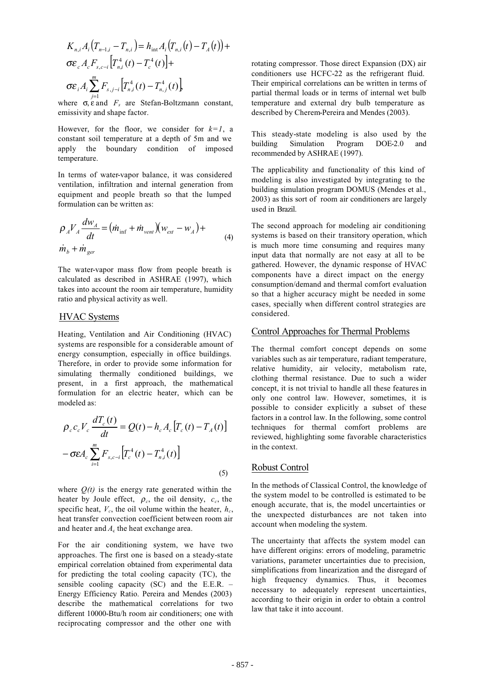$$
K_{n,i}A_{i}(T_{n-1,i} - T_{n,i}) = h_{int}A_{i}(T_{n,i}(t) - T_{A}(t)) +
$$
  
\n
$$
\sigma \varepsilon_{c} A_{c} F_{s,c-i} [T_{n,i}^{4}(t) - T_{c}^{4}(t)] +
$$
  
\n
$$
\sigma \varepsilon_{i} A_{i} \sum_{j=1}^{m} F_{s,j-i} [T_{n,i}^{4}(t) - T_{n,j}^{4}(t)]
$$

where  $\sigma$ ,  $\varepsilon$  and  $F_s$  are Stefan-Boltzmann constant, emissivity and shape factor.

However, for the floor, we consider for  $k=1$ , a constant soil temperature at a depth of 5m and we apply the boundary condition of imposed temperature.

In terms of water-vapor balance, it was considered ventilation, infiltration and internal generation from equipment and people breath so that the lumped formulation can be written as:

$$
\rho_A V_A \frac{dw_A}{dt} = (m_{\text{inf}} + m_{\text{vent}})(w_{\text{ext}} - w_A) +
$$
  
\n
$$
\dot{m}_b + \dot{m}_{\text{ger}}
$$
\n(4)

The water-vapor mass flow from people breath is calculated as described in ASHRAE (1997), which takes into account the room air temperature, humidity ratio and physical activity as well.

## HVAC Systems

Heating, Ventilation and Air Conditioning (HVAC) systems are responsible for a considerable amount of energy consumption, especially in office buildings. Therefore, in order to provide some information for simulating thermally conditioned buildings, we present, in a first approach, the mathematical formulation for an electric heater, which can be modeled as:

$$
\rho_c c_c V_c \frac{dT_c(t)}{dt} = Q(t) - h_c A_c [T_c(t) - T_A(t)]
$$

$$
-\sigma \varepsilon A_c \sum_{i=1}^m F_{s,c-i} [T_c^4(t) - T_{n,i}^4(t)]
$$
(5)

where  $Q(t)$  is the energy rate generated within the heater by Joule effect,  $\rho_c$ , the oil density,  $c_c$ , the specific heat,  $V_c$ , the oil volume within the heater,  $h_c$ , heat transfer convection coefficient between room air and heater and  $A_c$  the heat exchange area.

For the air conditioning system, we have two approaches. The first one is based on a steady-state empirical correlation obtained from experimental data for predicting the total cooling capacity (TC), the sensible cooling capacity (SC) and the E.E.R. – Energy Efficiency Ratio. Pereira and Mendes (2003) describe the mathematical correlations for two different 10000-Btu/h room air conditioners; one with reciprocating compressor and the other one with

rotating compressor. Those direct Expansion (DX) air conditioners use HCFC-22 as the refrigerant fluid. Their empirical correlations can be written in terms of partial thermal loads or in terms of internal wet bulb temperature and external dry bulb temperature as described by Cherem-Pereira and Mendes (2003).

This steady-state modeling is also used by the building Simulation Program DOE-2.0 and recommended by ASHRAE (1997).

The applicability and functionality of this kind of modeling is also investigated by integrating to the building simulation program DOMUS (Mendes et al., 2003) as this sort of room air conditioners are largely used in Brazil.

The second approach for modeling air conditioning systems is based on their transitory operation, which is much more time consuming and requires many input data that normally are not easy at all to be gathered. However, the dynamic response of HVAC components have a direct impact on the energy consumption/demand and thermal comfort evaluation so that a higher accuracy might be needed in some cases, specially when different control strategies are considered.

#### Control Approaches for Thermal Problems

The thermal comfort concept depends on some variables such as air temperature, radiant temperature, relative humidity, air velocity, metabolism rate, clothing thermal resistance. Due to such a wider concept, it is not trivial to handle all these features in only one control law. However, sometimes, it is possible to consider explicitly a subset of these factors in a control law. In the following, some control techniques for thermal comfort problems are reviewed, highlighting some favorable characteristics in the context.

## Robust Control

In the methods of Classical Control, the knowledge of the system model to be controlled is estimated to be enough accurate, that is, the model uncertainties or the unexpected disturbances are not taken into account when modeling the system.

The uncertainty that affects the system model can have different origins: errors of modeling, parametric variations, parameter uncertainties due to precision, simplifications from linearization and the disregard of high frequency dynamics. Thus, it becomes necessary to adequately represent uncertainties, according to their origin in order to obtain a control law that take it into account.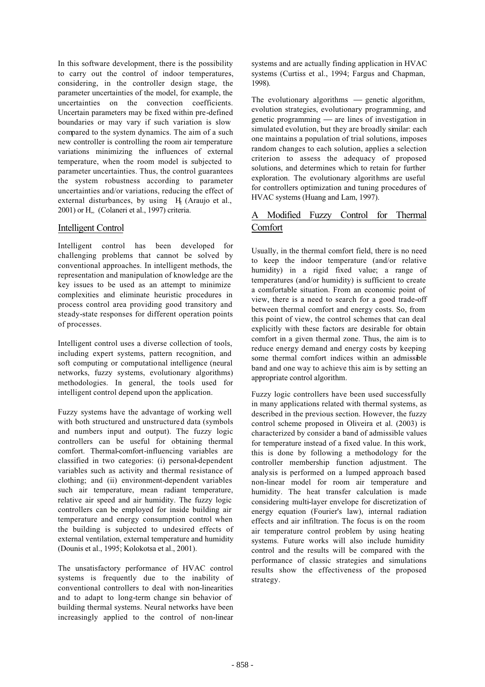In this software development, there is the possibility to carry out the control of indoor temperatures, considering, in the controller design stage, the parameter uncertainties of the model, for example, the uncertainties on the convection coefficients. Uncertain parameters may be fixed within pre-defined boundaries or may vary if such variation is slow compared to the system dynamics. The aim of a such new controller is controlling the room air temperature variations minimizing the influences of external temperature, when the room model is subjected to parameter uncertainties. Thus, the control guarantees the system robustness according to parameter uncertainties and/or variations, reducing the effect of external disturbances, by using  $H_2$  (Araujo et al., 2001) or H∞ (Colaneri et al., 1997) criteria.

## Intelligent Control

Intelligent control has been developed for challenging problems that cannot be solved by conventional approaches. In intelligent methods, the representation and manipulation of knowledge are the key issues to be used as an attempt to minimize complexities and eliminate heuristic procedures in process control area providing good transitory and steady-state responses for different operation points of processes.

Intelligent control uses a diverse collection of tools, including expert systems, pattern recognition, and soft computing or computational intelligence (neural networks, fuzzy systems, evolutionary algorithms) methodologies. In general, the tools used for intelligent control depend upon the application.

Fuzzy systems have the advantage of working well with both structured and unstructured data (symbols and numbers input and output). The fuzzy logic controllers can be useful for obtaining thermal comfort. Thermal-comfort-influencing variables are classified in two categories: (i) personal-dependent variables such as activity and thermal resistance of clothing; and (ii) environment-dependent variables such air temperature, mean radiant temperature, relative air speed and air humidity. The fuzzy logic controllers can be employed for inside building air temperature and energy consumption control when the building is subjected to undesired effects of external ventilation, external temperature and humidity (Dounis et al., 1995; Kolokotsa et al., 2001).

The unsatisfactory performance of HVAC control systems is frequently due to the inability of conventional controllers to deal with non-linearities and to adapt to long-term change sin behavior of building thermal systems. Neural networks have been increasingly applied to the control of non-linear

systems and are actually finding application in HVAC systems (Curtiss et al., 1994; Fargus and Chapman, 1998).

The evolutionary algorithms  $\frac{1}{\sqrt{2}}$  genetic algorithm, evolution strategies, evolutionary programming, and genetic programming  $-$  are lines of investigation in simulated evolution, but they are broadly similar: each one maintains a population of trial solutions, imposes random changes to each solution, applies a selection criterion to assess the adequacy of proposed solutions, and determines which to retain for further exploration. The evolutionary algorithms are useful for controllers optimization and tuning procedures of HVAC systems (Huang and Lam, 1997).

# A Modified Fuzzy Control for Thermal **Comfort**

Usually, in the thermal comfort field, there is no need to keep the indoor temperature (and/or relative humidity) in a rigid fixed value; a range of temperatures (and/or humidity) is sufficient to create a comfortable situation. From an economic point of view, there is a need to search for a good trade-off between thermal comfort and energy costs. So, from this point of view, the control schemes that can deal explicitly with these factors are desirable for obtain comfort in a given thermal zone. Thus, the aim is to reduce energy demand and energy costs by keeping some thermal comfort indices within an admissible band and one way to achieve this aim is by setting an appropriate control algorithm.

Fuzzy logic controllers have been used successfully in many applications related with thermal systems, as described in the previous section. However, the fuzzy control scheme proposed in Oliveira et al. (2003) is characterized by consider a band of admissible values for temperature instead of a fixed value. In this work, this is done by following a methodology for the controller membership function adjustment. The analysis is performed on a lumped approach based non-linear model for room air temperature and humidity. The heat transfer calculation is made considering multi-layer envelope for discretization of energy equation (Fourier's law), internal radiation effects and air infiltration. The focus is on the room air temperature control problem by using heating systems. Future works will also include humidity control and the results will be compared with the performance of classic strategies and simulations results show the effectiveness of the proposed strategy.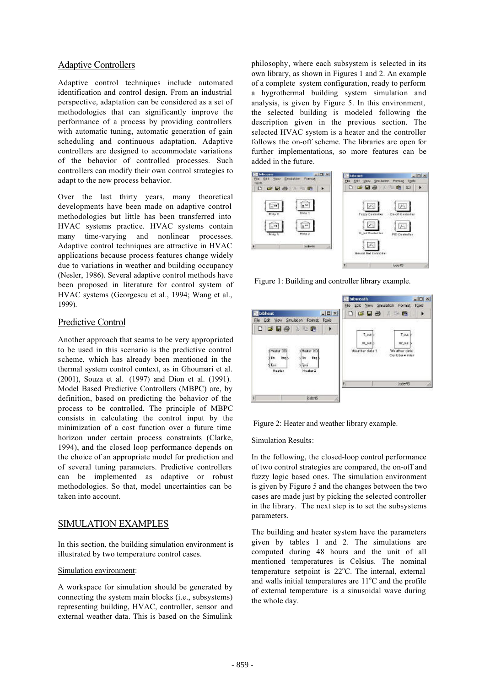## Adaptive Controllers

Adaptive control techniques include automated identification and control design. From an industrial perspective, adaptation can be considered as a set of methodologies that can significantly improve the performance of a process by providing controllers with automatic tuning, automatic generation of gain scheduling and continuous adaptation. Adaptive controllers are designed to accommodate variations of the behavior of controlled processes. Such controllers can modify their own control strategies to adapt to the new process behavior.

Over the last thirty years, many theoretical developments have been made on adaptive control methodologies but little has been transferred into HVAC systems practice. HVAC systems contain many time-varying and nonlinear processes. Adaptive control techniques are attractive in HVAC applications because process features change widely due to variations in weather and building occupancy (Nesler, 1986). Several adaptive control methods have been proposed in literature for control system of HVAC systems (Georgescu et al., 1994; Wang et al., 1999).

# Predictive Control

Another approach that seams to be very appropriated to be used in this scenario is the predictive control scheme, which has already been mentioned in the thermal system control context, as in Ghoumari et al. (2001), Souza et al. (1997) and Dion et al. (1991). Model Based Predictive Controllers (MBPC) are, by definition, based on predicting the behavior of the process to be controlled. The principle of MBPC consists in calculating the control input by the minimization of a cost function over a future time horizon under certain process constraints (Clarke, 1994), and the closed loop performance depends on the choice of an appropriate model for prediction and of several tuning parameters. Predictive controllers can be implemented as adaptive or robust methodologies. So that, model uncertainties can be taken into account.

# SIMULATION EXAMPLES

In this section, the building simulation environment is illustrated by two temperature control cases.

### Simulation environment:

A workspace for simulation should be generated by connecting the system main blocks (i.e., subsystems) representing building, HVAC, controller, sensor and external weather data. This is based on the Simulink

philosophy, where each subsystem is selected in its own library, as shown in Figures 1 and 2. An example of a complete system configuration, ready to perform a hygrothermal building system simulation and analysis, is given by Figure 5. In this environment, the selected building is modeled following the description given in the previous section. The selected HVAC system is a heater and the controller follows the on-off scheme. The libraries are open for further implementations, so more features can be added in the future.



Figure 1: Building and controller library example.





### Simulation Results:

In the following, the closed-loop control performance of two control strategies are compared, the on-off and fuzzy logic based ones. The simulation environment is given by Figure 5 and the changes between the two cases are made just by picking the selected controller in the library. The next step is to set the subsystems parameters.

The building and heater system have the parameters given by tables 1 and 2. The simulations are computed during 48 hours and the unit of all mentioned temperatures is Celsius. The nominal temperature setpoint is 22°C. The internal, external and walls initial temperatures are  $11^{\circ}$ C and the profile of external temperature is a sinusoidal wave during the whole day.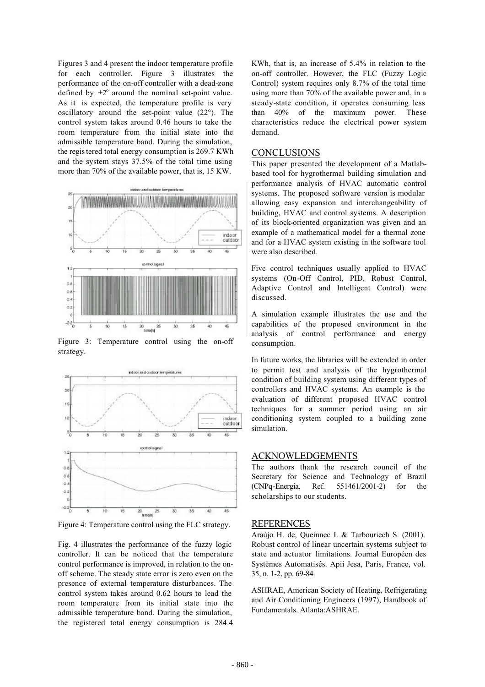Figures 3 and 4 present the indoor temperature profile for each controller. Figure 3 illustrates the performance of the on-off controller with a dead-zone defined by  $\pm 2^{\circ}$  around the nominal set-point value. As it is expected, the temperature profile is very oscillatory around the set-point value (22°). The control system takes around 0.46 hours to take the room temperature from the initial state into the admissible temperature band. During the simulation, the registered total energy consumption is 269.7 KWh and the system stays 37.5% of the total time using more than 70% of the available power, that is, 15 KW.



Figure 3: Temperature control using the on-off strategy.



Figure 4: Temperature control using the FLC strategy.

Fig. 4 illustrates the performance of the fuzzy logic controller. It can be noticed that the temperature control performance is improved, in relation to the onoff scheme. The steady state error is zero even on the presence of external temperature disturbances. The control system takes around 0.62 hours to lead the room temperature from its initial state into the admissible temperature band. During the simulation, the registered total energy consumption is 284.4

KWh, that is, an increase of 5.4% in relation to the on-off controller. However, the FLC (Fuzzy Logic Control) system requires only 8.7% of the total time using more than 70% of the available power and, in a steady-state condition, it operates consuming less than 40% of the maximum power. These characteristics reduce the electrical power system demand.

#### **CONCLUSIONS**

This paper presented the development of a Matlabbased tool for hygrothermal building simulation and performance analysis of HVAC automatic control systems. The proposed software version is modular allowing easy expansion and interchangeability of building, HVAC and control systems. A description of its block-oriented organization was given and an example of a mathematical model for a thermal zone and for a HVAC system existing in the software tool were also described.

Five control techniques usually applied to HVAC systems (On-Off Control, PID, Robust Control, Adaptive Control and Intelligent Control) were discussed.

A simulation example illustrates the use and the capabilities of the proposed environment in the analysis of control performance and energy consumption.

In future works, the libraries will be extended in order to permit test and analysis of the hygrothermal condition of building system using different types of controllers and HVAC systems. An example is the evaluation of different proposed HVAC control techniques for a summer period using an air conditioning system coupled to a building zone simulation.

#### ACKNOWLEDGEMENTS

The authors thank the research council of the Secretary for Science and Technology of Brazil (CNPq-Energia, Ref. 551461/2001-2) for the scholarships to our students.

#### **REFERENCES**

Araújo H. de, Queinnec I. & Tarbouriech S. (2001). Robust control of linear uncertain systems subject to state and actuator limitations. Journal Européen des Systèmes Automatisés. Apii Jesa, Paris, France, vol. 35, n. 1-2, pp. 69-84.

ASHRAE, American Society of Heating, Refrigerating and Air Conditioning Engineers (1997), Handbook of Fundamentals. Atlanta:ASHRAE.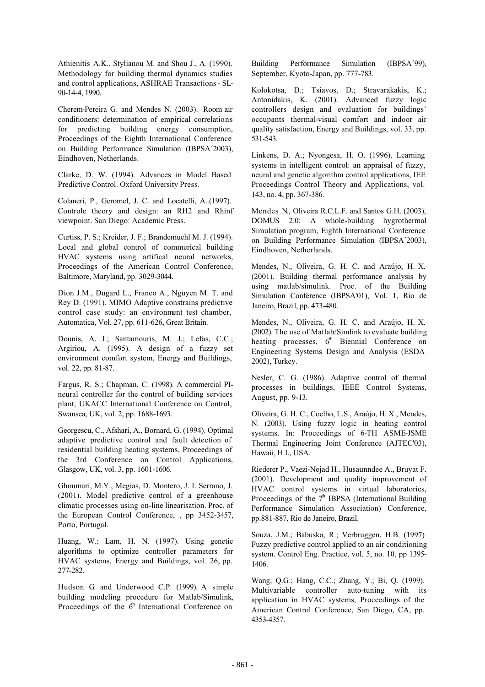Athienitis A.K., Stylianou M. and Shou J., A. (1990). Methodology for building thermal dynamics studies and control applications, ASHRAE Transactions - SL-90-14-4, 1990.

Cherem-Pereira G. and Mendes N. (2003). Room air conditioners: determination of empirical correlations for predicting building energy consumption, Proceedings of the Eighth International Conference on Building Performance Simulation (IBPSA´2003), Eindhoven, Netherlands.

Clarke, D. W. (1994). Advances in Model Based Predictive Control. Oxford University Press.

Colaneri, P., Geromel, J. C. and Locatelli, A..(1997). Controle theory and design: an RH2 and Rhinf viewpoint. San Diego: Academic Press.

Curtiss, P. S.; Kreider, J. F.; Brandemuehl M. J. (1994). Local and global control of commerical building HVAC systems using artifical neural networks, Proceedings of the American Control Conference, Baltimore, Maryland, pp. 3029-3044.

Dion J.M., Dugard L., Franco A., Nguyen M. T. and Rey D. (1991). MIMO Adaptive constrains predictive control case study: an environment test chamber, Automatica, Vol. 27, pp. 611-626, Great Britain.

Dounis, A. I.; Santamouris, M. J.; Lefas, C.C.; Argiriou, A. (1995). A design of a fuzzy set environment comfort system, Energy and Buildings, vol. 22, pp. 81-87.

Fargus, R. S.; Chapman, C. (1998). A commercial PIneural controller for the control of building services plant, UKACC International Conference on Control, Swansea, UK, vol. 2, pp. 1688-1693.

Georgescu, C., Afshari, A., Bornard, G. (1994). Optimal adaptive predictive control and fault detection of residential building heating systems, Proceedings of the 3rd Conference on Control Applications, Glasgow, UK, vol. 3, pp. 1601-1606.

Ghoumari, M.Y., Megias, D. Montero, J. I. Serrano, J. (2001). Model predictive control of a greenhouse climatic processes using on-line linearisation. Proc. of the European Control Conference, , pp 3452-3457, Porto, Portugal.

Huang, W.; Lam, H. N. (1997). Using genetic algorithms to optimize controller parameters for HVAC systems, Energy and Buildings, vol. 26, pp. 277-282.

Hudson G. and Underwood C.P. (1999). A simple building modeling procedure for Matlab/Simulink, Proceedings of the  $6<sup>th</sup>$  International Conference on Building Performance Simulation (IBPSA´99), September, Kyoto-Japan, pp. 777-783.

Kolokotsa, D.; Tsiavos, D.; Stravarakakis, K.; Antonidakis, K. (2001). Advanced fuzzy logic controllers design and evaluation for buildings' occupants thermal-visual comfort and indoor air quality satisfaction, Energy and Buildings, vol. 33, pp. 531-543.

Linkens, D. A.; Nyongesa, H. O. (1996). Learning systems in intelligent control: an appraisal of fuzzy, neural and genetic algorithm control applications, IEE Proceedings Control Theory and Applications, vol. 143, no. 4, pp. 367-386.

Mendes N., Oliveira R.C.L.F. and Santos G.H. (2003), DOMUS 2.0: A whole-building hygrothermal Simulation program, Eighth International Conference on Building Performance Simulation (IBPSA´2003), Eindhoven, Netherlands.

Mendes, N., Oliveira, G. H. C. and Araújo, H. X. (2001). Building thermal performance analysis by using matlab/simulink. Proc. of the Building Simulation Conference (IBPSA'01), Vol. 1, Rio de Janeiro, Brazil, pp. 473-480.

Mendes, N., Oliveira, G. H. C. and Araújo, H. X. (2002). The use of Matlab/Simlink to evaluate building heating processes,  $6<sup>th</sup>$  Biennial Conference on Engineering Systems Design and Analysis (ESDA 2002), Turkey.

Nesler, C. G. (1986). Adaptive control of thermal processes in buildings, IEEE Control Systems, August, pp. 9-13.

Oliveira, G. H. C., Coelho, L.S., Araújo, H. X., Mendes, N. (2003). Using fuzzy logic in heating control systems. In: Proceedings of 6-TH ASME-JSME Thermal Engineering Joint Conference (AJTEC'03), Hawaii, H.I., USA.

Riederer P., Vaezi-Nejad H., Husaunndee A., Bruyat F. (2001). Development and quality improvement of HVAC control systems in virtual laboratories, Proceedings of the  $7<sup>th</sup>$  IBPSA (International Building Performance Simulation Association) Conference, pp.881-887, Rio de Janeiro, Brazil.

Souza, J.M.; Babuska, R.; Verbruggen, H.B. (1997) Fuzzy predictive control applied to an air conditioning system. Control Eng. Practice, vol. 5, no. 10, pp 1395- 1406.

Wang, Q.G.; Hang, C.C.; Zhang, Y.; Bi, Q. (1999). Multivariable controller auto-tuning with its application in HVAC systems, Proceedings of the American Control Conference, San Diego, CA, pp. 4353-4357.